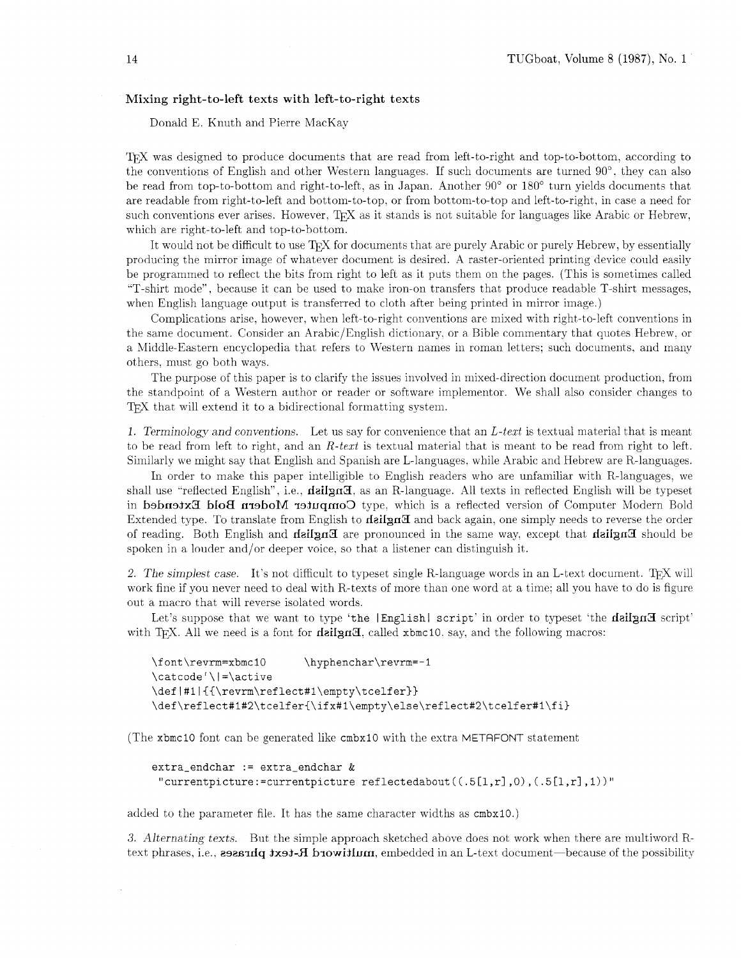# Mixing right-to-left texts with left-to-right texts

Donald E. Knuth and Pierre MacKay

T<sub>F</sub>X was designed to produce documents that are read from left-to-right and top-to-bottom, according to the converltions of English and other Western languages. If such documents are turned 90". they can also be read from top-to-bottom and right-to-left, as in Japan. Another 90" or 180" turn yields documents that are readable from right-to-left and bottom-to-top, or from bottom-to-top and left-to-right, in case a need for such conventions ever arises. However,  $T_F X$  as it stands is not suitable for languages like Arabic or Hebrew, which are right-to-left and top-to-bottom.

It would not be difficult to use T<sub>F</sub>X for documents that are purely Arabic or purely Hebrew, by essentially producing the mirror image of whatever document is desired. A raster-oriented printing device could easily be programmed to reflect the bits from right to left as it puts them on the pages. (This is sometimes called "T-shirt mode", because it can be used to niake iron-on transfers that produce readable T-shirt messages. when English language output is transferred to cloth after being printed in mirror image.)

Complications arise, however, when left-to-right conventions are mixed with right-to-left conventions in the same document. Consider an Arabic/English dictionary, or a Bible commentary that quotes Hebrew, or a Middle-Eastern encyclopedia that refers to Western names in roman letters; such documents, and many others, must go both ways.

The purpose of this paper is to clarify the issues involved in mixed-direction document production, from the standpoint of a Western author or reader or software implementor. We shall also consider changes to T<sub>F</sub>X that will extend it to a bidirectional formatting system.

1. Terminology and conventions. Let us say for convenience that an  $L$ -text is textual material that is meant to be read from left to right, and an  $R$ -text is textual material that is meant to be read from right to left. Siniilarly we might say that English and Spanish are L-languages. while Arabic and Hebrew are R-languages.

In order to make this paper intelligible to English readers who are unfamiliar with R-languages, we shall use "reflected English", i.e., **deilan<sub>H</sub>**, as an R-language. All texts in reflected English will be typeset in biost Euclid with the response of Computer Modern Bold Extended in the reflected version of Computer Modern Bold Extended type. To translate from English to  $\text{nei}$  and back again, one simply needs to reverse the order of reading. Both English and **deilard** are pronounced in the same way, except that **delign** as should be spoken in a louder and/or deeper voice. so that a listener can distinguish it.

2. The simplest case. It's not difficult to typeset single R-language words in an L-text document. TFX will work fine if you never need to deal with R-texts of more than one word at a time: all you have to do is figure out a macro that will reverse isolated words.

Let's suppose that we want to type 'the [English] script' in order to typeset 'the dailyng script' with T<sub>EX</sub>. All we need is a font for **dzilgn3**, called  $x$ bmc10, say, and the following macros:

```
\font\revrm=xbmc10
                         \hyphenchar\revrm=-1
\text{Catcode'} = active
\def|#1|{{\revrm\reflect#1\empty\tcelfer}}
\def\reflect#1#2\tcelfer{\ifx#1\empty\else\reflect#2\tcelfer#1\fi}
```
(The xbmcl0 font can be generated like cmbxl0 with the extra METAFONT statement

```
extra_endchar := extra_endchar &
 "currentpicture:=currentpicture reflectedabout((.5[1,r],0), (.5[1,r],1))"
```
added to the parameter file. It has the same character widths as  $cmbx10$ .)

**3.** Alternating texts. But the simple approach sketched above does not work when there are multiword Rtext phrases, i.e., **esesariq txst-fl browitlum**, embedded in an L-text document—because of the possibility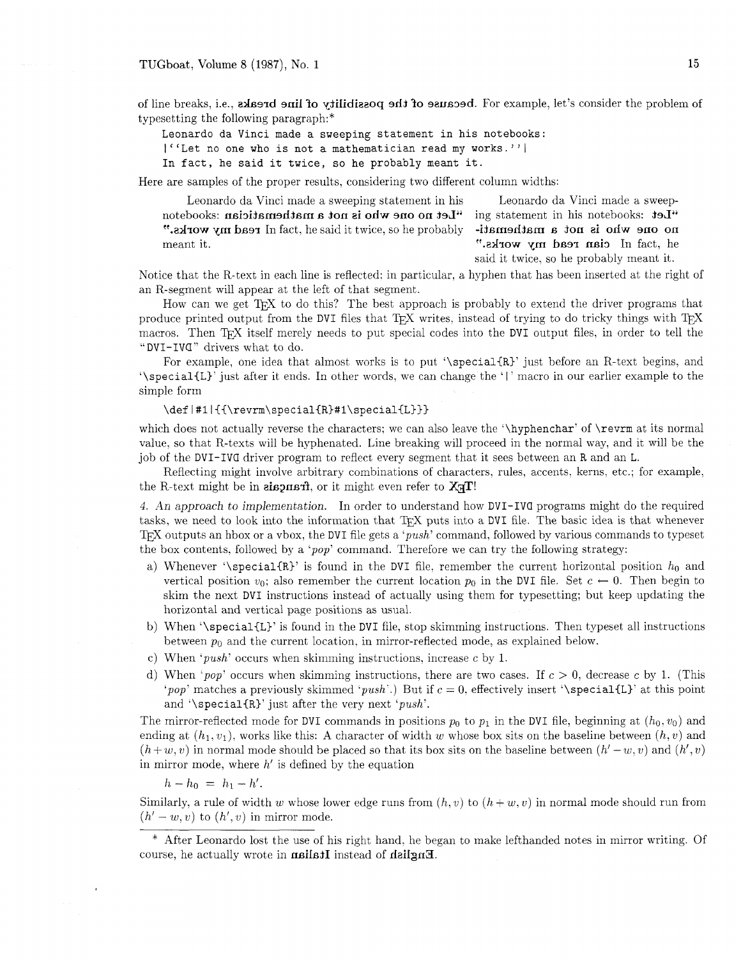of line breaks, i.e., a breaks of the problem of the possibility of line breaks, i.e., also shift we of the problem of typesetting the following paragraph:\*

Leonardo da Vinci made a sweeping statement in his notebooks:

 $|$ <sup>''</sup>Let no one who is not a mathematician read my works.''|

In fact, he said it twice, so he probably meant it.

Here are samples of the proper results, considering two different column widths:

Leonardo da Vinci made a sweeping statement in his Leonardo da Vinci made a sweep-"Let sakoodston sid ni insensiste me velope who is not a mathematician sakoodston is not a mathemati- vidador on  $\alpha$  is not a mathemati- vidador on  $\alpha$  is not a mathemati-"At  $\mathbf{X}$ " or  $\mathbf{A}$  is  $\mathbf{A}$ " on  $\mathbf{A}$  is  $\mathbf{A}$  is  $\mathbf{A}$  is it twice, so he probably meant it. The same is not consider the set of the set of the set of the set of the set of the set of the set of the set of the set of the set of the set of the set of the set of the set of the set of the set of the set of

said it twice. so he probably meant it.

Notice that the R-text in each line is reflected: in particular, a hyphen that has been inserted at the right of an R-segment will appear at the left of that segment.

How can we get  $T_{\rm F}X$  to do this? The best approach is probably to extend the driver programs that produce printed output from the DVI files that T<sub>F</sub>X writes, instead of trying to do tricky things with T<sub>F</sub>X macros. Then TEX itself merely needs to put special codes into the DVI output files, in order to tell the "DVI-IVC" drivers what to do.

For example, one idea that almost works is to put '\special{R}' just before an R-text begins, and '\special{L}' just after it ends. In other words, we can change the '|' macro in our earlier example to the simple form

#### \def|#1|{{\revrm\special{R}#1\special{L}}}

which does not actually reverse the characters; we can also leave the '\hyphenchar' of \revrm at its normal value. so that R-texts will be hyphenated. Line breaking will proceed in the normal way, and it will be the job of the DVI-IVa driver program to reflect every segment that it sees between an R and an L.

Reflecting might involve arbitrary combinations of characters, rules, accents, kerns, ek.; for example, the R-text might be in **alisemant**, or it might even refer to  $X \nsubseteq T!$ 

4. An approach to implementation. In order to understand how DVI-IVa programs might do the required tasks, we need to look into the information that T<sub>R</sub>X puts into a DVI file. The basic idea is that whenever TEX outputs an hbox or a vbox, the DVI file gets a 'push' command, followed by various commands to typeset the box contents, followed by a 'pop' command. Therefore we can try the following strategy:

- a) Whenever '\special{R}' is found in the DVI file, remember the current horizontal position  $h_0$  and vertical position  $v_0$ ; also remember the current location  $p_0$  in the DVI file. Set  $c \leftarrow 0$ . Then begin to skim the next DVI instructions instead of actually using them for typesetting; but keep updating the horizontal and vertical page positions as usual.
- b) When '\special{L}' is found in the DVI file, stop skimming instructions. Then typeset all instructions between  $p_0$  and the current location, in mirror-reflected mode, as explained below.
- c) When 'push' occurs when skimming instructions, increase c by 1.
- d) When 'pop' occurs when skimming instructions, there are two cases. If  $c > 0$ , decrease c by 1. (This 'pop' matches a previously skimmed 'push'.) But if  $c = 0$ , effectively insert '\special{L}' at this point and '\special{R}' just after the very next ' $push$ '.

The mirror-reflected mode for DVI commands in positions  $p_0$  to  $p_1$  in the DVI file, beginning at  $(h_0, v_0)$  and ending at  $(h_1, v_1)$ , works like this: A character of width w whose box sits on the baseline between  $(h, v)$  and  $(h+w, v)$  in normal mode should be placed so that its box sits on the baseline between  $(h'-w, v)$  and  $(h', v)$ in mirror mode, where  $h'$  is defined by the equation

 $h-h_0 = h_1-h'.$ 

Similarly, a rule of width w whose lower edge runs from  $(h, v)$  to  $(h + w, v)$  in normal mode should run from  $(h'-w, v)$  to  $(h', v)$  in mirror mode.

\* After Leonardo lost the use of his right hand, he began to make lefthanded notes in mirror writing. Of course, he actually wrote in **nailsil** instead of **deilings**.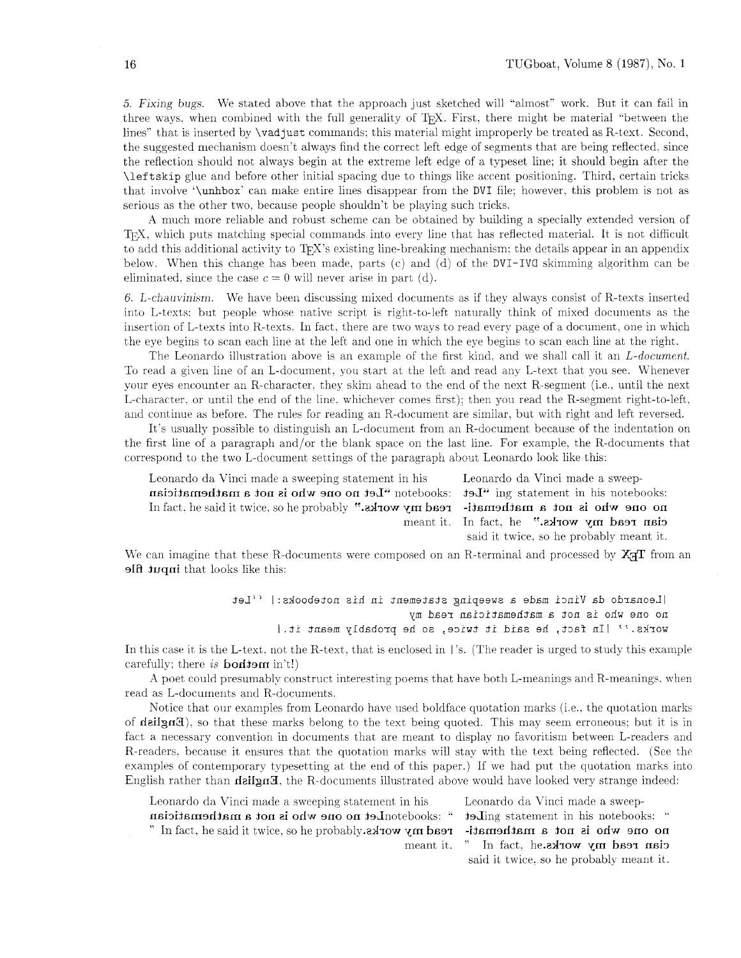*5.* Fixing- bugs. We stated above that the approach just sketched will "almost" work. But it can fail in three ways, when combined with the full generality of T<sub>EX</sub>. First, there might be material "between the lines" that is inserted by \vadjust commands; this material might improperly be treated as R-text. Second, the suggested mechanism doesn't always find the correct left edge of segments that are being reflected, since the reflection should not always begin at the extreme left edge of a typeset line; it should begin after the \leftskip glue and before other initial spacing due to things like accent positioning. Third. certain tricks that involve '\unhbox' can make entire lines disappear from the DVI file; however, this problem is not as serious as the other two, because people shouldn't be playing such tricks.

A much more reliable and robust scheme can be obtained by building a specially extended version of T<sub>EX</sub>, which puts matching special commands into every line that has reflected material. It is not difficult to add this additional activity to  $T_F X$ 's existing line-breaking mechanism; the details appear in an appendix below. When this change has been made. parts (c) and (d) of the DVI-IVa skimming algorithm can be eliminated, since the case  $c = 0$  will never arise in part (d).

6. L-chauvinism. We have been discussing mixed documents as if they always consist of R-texts inserted into L-texts: but people whose native script is right-to-left naturally think of mixed documents as the insertion of L-texts into R-texts. In fact, there are two ways to read every page of a document, one in which the eye begins to scan each line at the left and one in which the eye begins to scan each line at the right.

The Leonardo illustration above is an example of the first kind, and we shall call it an L-document. To read a given line of an L-document, you start at the left and read any L-text that you see. Whenever your eyes encounter an R-character, they skim ahead to the end of the next R-segment (i.e., until the next L-character. or until the end of the line. whichever comes first); then you read the R-segment right-to-left, and continue as before. The rules for reading an R-document are similar, but with right and left reversed.

It's usually possible to distinguish an L-document from an R-document because of the indentation on the first line of a paragraph and/or the blank space on the last line. For example, the R-documents that correspond to the two L-document settings of the paragraph about Leonardo look like this:

Leonardo da Vinci made a sweeping statement in his Leonardo da Vinci made a sweeps is isode to all in the metabooks in the metabooks is not a mathematician is not a mathematic read my works."  $v$  is not a mathemati-read my works."  $v$  is not a mathemati-read my works." In fact, he said it twice, so he probably ".advox ym bser

nieant it. In fact. he ".aA-row ym bss-r nsi3 said it twice. so he probably meant it.

We can imagine that these R-documents were composed on an R-terminal and processed by  $X\pi T$  from an **slft hugharhooks** like this:

> [Leonardo da Vinci made a sweeping statement in his notebooks: | ''Let no one who is not a mathematician read my works.'' | In fact, he said it twice, so he probably meant it. |

In this case it is the L-text, not the R-text, that is enclosed in I's. (The reader is urged to study this example carefully; there is **bodism** in't!)

A poet could presumably construct interesting poems that have both L-meanings and R-meanings. when read as L-documents and R-documents.

Notice that our examples from Leonardo have used boldface quotation marks (i.e., the quotation marks of **delign3**), so that these marks belong to the text being quoted. This may seem erroneous; but it is in fact a necessary convention in documents that are meant to display no favoritism between L-readers and R-readers, because it ensures that the quotation marks will stay with the text being reflected. (See the examples of contemporary typesetting at the end of this paper.) If we had put the quotation marks into English rather than **deilgn3**, the R-documents illustrated above would have looked very strange indeed:

Leonardo da Vinci made a sweeping statement in his Leonardo da Vinci made a sweep-

" In fact, he said it twice, so he probably. $a$ **x**  $x$  on  $y$  on  $b$  and  $f$  is  $i$  on  $j$  on  $j$  on  $j$  on  $j$  on  $j$  on  $j$  on  $j$  on  $j$  on  $j$  on  $j$  on  $j$  on  $j$  on  $j$  on  $j$  on  $j$  on  $j$  on  $j$  on  $j$  on  $j$  on

" :exoodston aid ni the metate gaillet " is also destorlet no one who is not a mathematician no one who is not a mathemati-read my works.  $v$ Indiction  $v$  is not a mathemati-read my works.  $v$ Iddsdord end  $\alpha$ , so ivit it rieant it. " In fact, he.aarow ym head my works. said it twice. so he probablj meant it.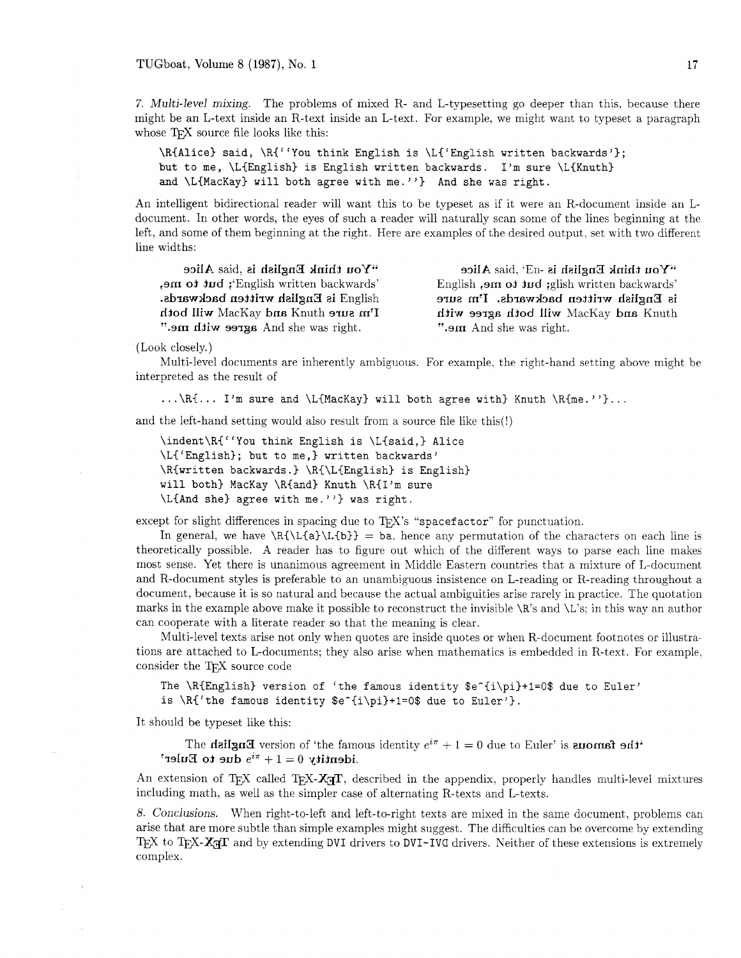7. Multi-level mixing. The problems of mixed R- and L-typesetting go deeper than this, because there might be an L-text inside an R-text inside an L-text. For example, we might want to typeset a paragraph whose T<sub>F</sub>X source file looks like this:

\R(Alice) said, \R([ 'You think English is \L('English written backwards'); but to me, \L(English) is English written backwards. I'm sure \L{Knuth) and  $\L{Mackay}$  will both agree with me."} And she was right.

An intelligent bidirectional reader will want this to be typeset as if it were an R-document inside an Ldocument. In other words, the eyes of such a reader will naturally scan some of the lines beginning at the left, and some of them beginning at the right. Here are examples of the desired output, set with two different line widths:

". sm dives age and she was right. ". ". And she was right."

"You think English is  $-dB$ ,  $\Delta$  Alice  $\Delta$  and  $\Delta$  reference  $\Delta$  rangitsh is  $\Delta$  his  $\Delta$  his  $\Delta$  rice 'shut is met in the stead of the stead is the stead of the stead of the stead is English written backwards. I'm sure is fraglish written backwards. is English written backwards. I'm sure dum and  $\mu$ and  $\mu$ arre mith sarre music meeting the meeting will both  $\mu$ 

(Look closely.)

Multi-level documents are inherently ambiguous. For example, the right-hand setting abow might be interpreted as the result of

... \R{... I'm sure and \L{MacKay} will both agree with} Knuth \R{me.''}...

and the left-hand setting would also result from a source file like this(!)

```
\indent\R{"You think English is \L{said,) Alice 
\LC'Englishl; but to me,) written backwards' 
\R{written backwards.) \R{\L{English) is English) 
will both} MacKay \R{and} Knuth \R{I'm} sure
\L{And she} agree with me."} was right.
```
except for slight differences in spacing due to  $T_F X$ 's "spacefactor" for punctuation.

In general, we have  $\R\L{a}\L{b} = ba$ , hence any permutation of the characters on each line is theoretically possible. A reader has to figure out which of the different ways to parse each line makes most sense. Yet there is unanimous agreement in Middle Eastern countries that a mixture of L-document and R-document styles is preferable to an unambiguous insistence on L-reading or R-reading throughout a document, because it is so natural and because the actual ambiguities arise rarely in practice. The quotation marks in the example above make it possible to reconstruct the invisible \R's and \L's: in this way an author can cooperate with a literate reader so that the meaning is clear.

Multi-level texts arise not only when quotes are inside quotes or when R-document footnotes or illustrations are attached to L-documents; they also arise when mathematics is embedded in R-text,. For example, consider the TFX source code

```
The \R{English version of 'the famous identity <math>\frac{\pi}{1}+1=0</math> due to Euler'is \R' the famous identity \e^i\pi + 1 = 0 due to Euler'}.
```
It should be typeset like this:

The **figure identity**  $e^{i\pi} + 1 = 0$  due to Euler' is **about the famous** identity  $e^{i\pi} + 1 = 0$  due to Euler' is **about the famous** identity  $0 = 1 + \pi i$  due to Euler'

An extension of T<sub>F</sub>X called T<sub>F</sub>X-**X<sub>T</sub>T**, described in the appendix, properly handles multi-level mixtures including math. as well as the simpler case of alternating R-texts and L-texts.

*8.* Conclusions. When right-to-left and left-to-right texts are mixed in the same document, problems can arise that are more subtle than simple examples might suggest. The difficulties can be overcome by extending TEX to TEX- $X \pi T$  and by extending DVI drivers to DVI-IVG drivers. Neither of these extensions is extremely complex.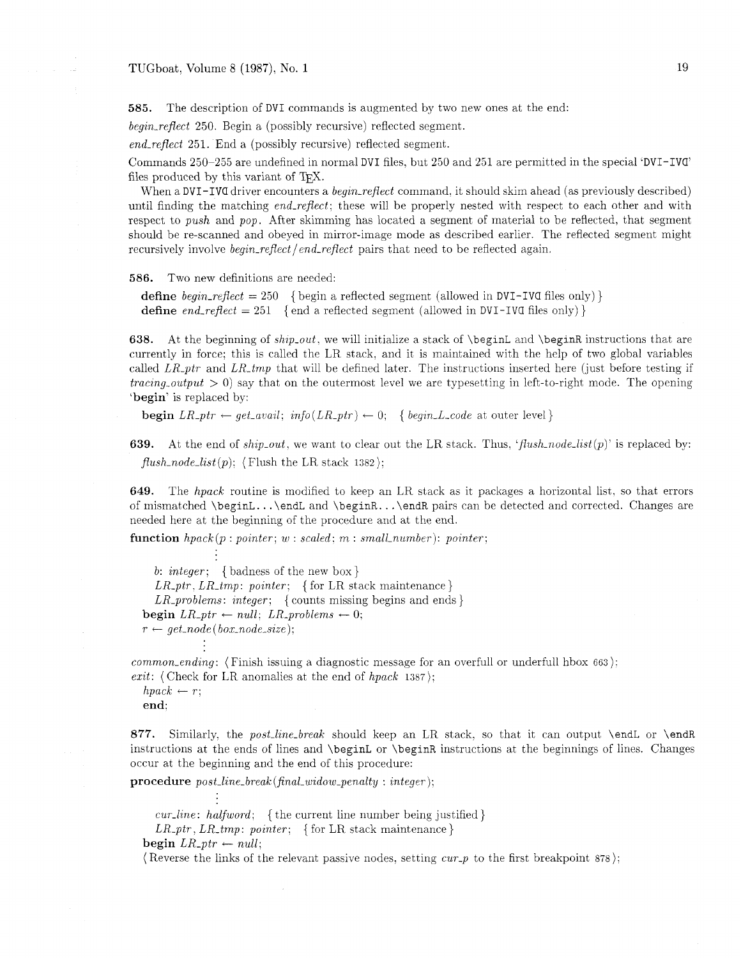**585.** The description of DVI commands is augmented by two new ones at the end:

 $beginer{eq} region\_reflect$  250. Begin a (possibly recursive) reflected segment.

end-reflect 251. End a (possibly recursive) reflected segment.

Commands 250-255 are undefined in normal DVI files, but 250 and 251 are permitted in the special 'DVI-IVa' files produced by this variant of TFX.

When a DVI-IVG driver encounters a *begin-reflect* command, it should skim ahead (as previously described) until finding the matching end-reflect; these will be properly nested with respect to each other and with respect to push and pop. After skimming has located a segment of material to be reflected, that segment should be re-scanned and obeyed in mirror-image mode as described earlier. The reflected segment might recursively involve *begin-reflect* /*end-reflect* pairs that need to be reflected again.

**586.** Two new definitions are needed:

define begin-reflect = 250 { begin a reflected segment (allowed in DVI-IVG files only) } define end\_reflect = 251 {end a reflected segment (allowed in DVI-IVG files only) }

**638.** At the beginning of ship-out, we will initialize a stack of \beginL and \beginR instructions that are currently in force; this is called the LR stack, and it is maintained with the help of two global variables called LR<sub>-ptr</sub> and LR<sub>-tmp</sub> that will be defined later. The instructions inserted here (just before testing if *tracing-output*  $> 0$ ) say that on the outermost level we are typesetting in left-to-right mode. The opening 'begin' is replaced by:

**begin**  $LR\_ptr \leftarrow get\_avail$ ;  $info(LR\_ptr) \leftarrow 0$ ; { begin-L-code at outer level}

**639.** At the end of ship-out, we want to clear out the LR stack. Thus, 'flush-node-list(p)' is replaced by:  $flush\_node\_list(p);$  (Flush the LR stack 1382);

**649.** The hpack routine is modified to keep an LR stack as it packages a horizontal list, so that errors of mismatched \beginL. . . \endL and \beginR. . . \endR pairs can be detected and corrected. Changes are needed here at the beginning of the procedure and at the end.

function  $hpack(p: pointer; w: scaled; m: small_number): pointer;$ 

b: integer: { badness of the new box}  $LR\_ptr$ ,  $LR\_tmp$ : pointer; { for LR stack maintenance }  $LR\_problems: integer;$  { counts missing begins and ends } begin  $LR\_ptr \leftarrow null$ ;  $LR\_problems \leftarrow 0$ ;  $r \leftarrow get\_node(box\_node\_size);$ 

*common\_ending*: (Finish issuing a diagnostic message for an overfull or underfull hbox 663): exit: (Check for LR anomalies at the end of  $hpack$  1387);

 $hpack \leftarrow r$ ;

end:

877. Similarly, the post-line-break should keep an LR stack, so that it can output **\endL** or **\endR** instructions at the ends of lines and \beginL or \beginR instructions at the beginnings of lines. Changes occur at the beginning and the end of this procedure:

procedure post-line-break (final-widow-penalty : integer):

*cur-line: halfword*; {the current line number being justified}  $LR_+ptr$ ,  $LR_-tmp$ : pointer; {for LR stack maintenance}

begin  $LR\_ptr \leftarrow null;$ 

(Reverse the links of the relevant passive nodes, setting  $cur\_p$  to the first breakpoint 878);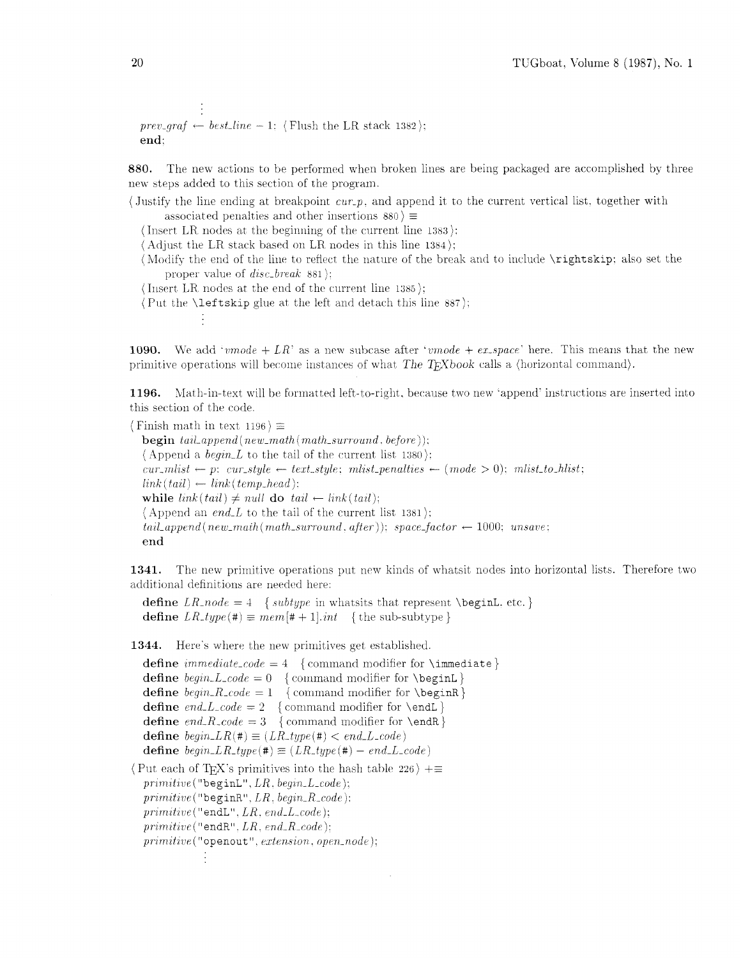```
prev\_graf \leftarrow best\_line - 1: (Flush the LR stack 1382);
end:
```
880. The new actions to be performed when broken lines are being packaged are accomplished by three new steps added to this section of the program.

(Justify the line ending at breakpoint  $cur.p$ , and append it to the current vertical list, together with associated penalties and other insertions  $880 \equiv$ 

(Insert LR nodes at the beginning of the current line  $1383$ ):

 $\langle$  Adjust the LR stack based on LR nodes in this line 1384 $\rangle$ ;

(Modify the end of the line to reflect the nature of the break and to include \rightskip; also set the proper value of  $disc\_break$  881);

(Insert LR nodes at the end of the current line  $1385$ );

(Put the **\leftskip** glue at the left and detach this line  $887$ );

1090. We add '*vmode* + LR' as a new subcase after '*vmode* + ex\_space' here. This means that the new primitive operations will become instances of what The TrXbook calls a (horizontal command).

Math-in-text will be formatted left-to-right, because two new 'append' instructions are inserted into 1196. this section of the code.

(Finish math in text 1196)  $\equiv$ **begin**  $tail\_append(new\_math(math\_surround, before));$  $\langle$  Append a *begin\_L* to the tail of the current list 1380 $\rangle$ :  $cur\_mlist \leftarrow p; \ cur\_style \leftarrow text\_style; \ mlist\_penalties \leftarrow (mode > 0); \ mlist\_to\_hlist;$  $link(tail) \leftarrow link(temp\_head);$ while  $link(tail) \neq null$  do  $tail \leftarrow link(tail)$ ;  $\langle$  Append an *end<sub>-L</sub>* to the tail of the current list 1381); tail\_append(new\_maih(math\_surround. after)); space\_factor  $\leftarrow$  1000; unsave; end

1341. The new primitive operations put new kinds of whatsit nodes into horizontal lists. Therefore two additional definitions are needed here:

define LR\_node = 4 { subtype in whatsits that represent \beginL, etc. } define  $LR\_type(\#) \equiv mem[\# + 1].int$  {the sub-subtype}

1344. Here's where the new primitives get established.

define  $immediate\_code = 4$  {command modifier for \immediate} define  $begin\_{{\mathcal{L}}} = 0$  {command modifier for \beginL} define  $begin{math} \negthinspace \text{[}\negthinspace \text{[}\negthinspace \text{[}\negthinspace \text{[}\negthinspace \text{[}\negthinspace \text{[}\negthinspace \text{[}\negthinspace \text{[}\negthinspace \text{[}\negthinspace \text{[}\negthinspace \text{[}\negthinspace \text{[}\negthinspace \text{[}\negthinspace \text{[}\negthinspace \text{[}\negthinspace \text{[}\negthinspace \text{[}\negthinspace \text{[}\negthinspace \text{[}\negthinspace \text{[}\negthinspace \text{[}\negthinspace \text{[}\negthinspace \text{[}\negthinspace \text{[}\negthinspace \text{[}\negthinspace \text{[}\$ define end\_L\_code = 2 { command modifier for \endL} define end\_R\_code = 3 { command modifier for \endR } define  $begin\_LR(\#) \equiv (LR\_type(\#) < end\_L\_code)$ define  $begin\_LR_type(\texttt{#}) \equiv (LR_type(\texttt{#}) - end\_L-code)$ (Put each of T<sub>F</sub>X's primitives into the hash table 226)  $+\equiv$  $primitive("begin L".LR, begin.L.code);$  $primitive("begin R., begin.R.code);$  $primitive$  ("endL",  $LR$ ,  $end$ L\_code);  $primitive("endR".LR. end.R\_code);$  $primitive$  ("openout", extension, open\_node);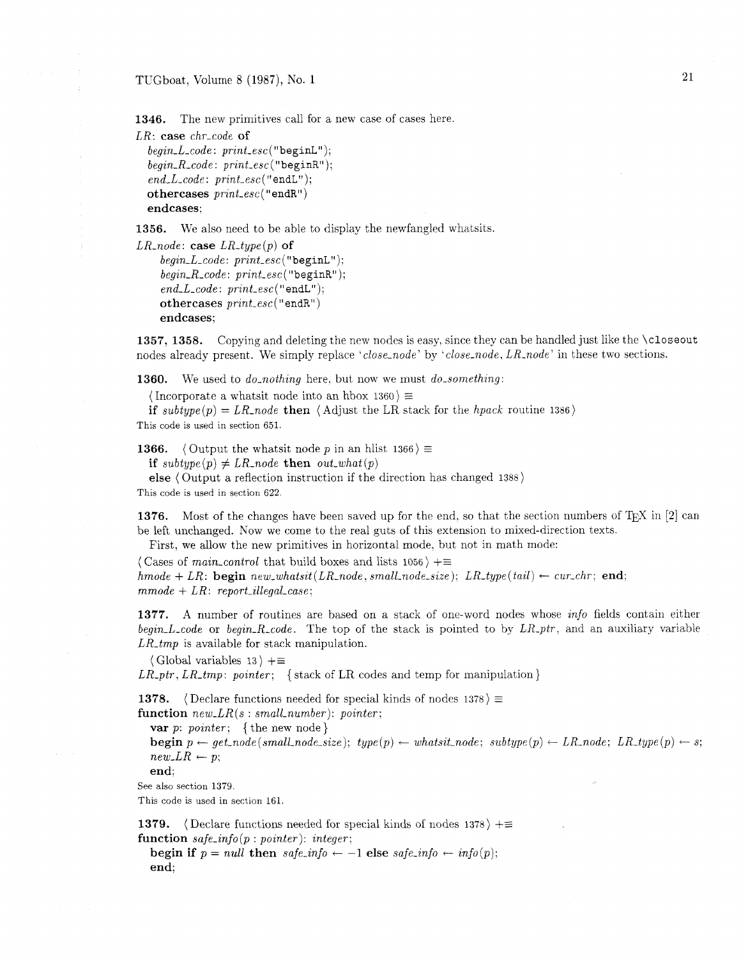TUGboat, Volume 8 (1987), No. 1

**1346.** The new primitives call for a new case of cases here.

```
LR: case chr_code of
```

```
begin. L_code: print\_esc("begin.");begin. R\_code: print\_esc("begin R");end\_L\_code: print\_esc("endL");othercases print\_esc ("endR")
endcases:
```
**1356.** We also need to be able to display the newfangled whatsits.

```
LR<sub>-node</sub>: case LR-type(p) of
     begin. L_code: print\_esc("begin L");begin. R\_code: print\_esc("begin R");end\_L\_code: print\_esc("endL");othercases print\_esc("endR")endcases;
```
1357, 1358. Copying and deleting the new nodes is easy, since they can be handled just like the \closeout nodes already present. We simply replace 'close-node' by 'close-node, LR-node' in these two sections.

**1360.** We used to *do\_nothing* here, but now we must *do\_something*:

 $\langle$  Incorporate a whatsit node into an hbox 1360)  $\equiv$ 

if subtype(p) = LR\_node then  $\langle$  Adjust the LR stack for the hpack routine 1386 $\rangle$ This code is used in section 651.

**1366.**  $\langle$  Output the whatsit node p in an hlist 1366)  $\equiv$ 

if subtype(p)  $\neq LR$ -node then out-what(p)

else (Output a reflection instruction if the direction has changed 1388)

This code is used in section 622.

**1376.** Most of the changes have been saved up for the end, so that the section numbers of T<sub>E</sub>X in [2] can be left unchanged. Now we come to the real guts of this extension to mixed-direction texts.

First, we allow the new primitives in horizontal mode, but not in math mode:

(Cases of *main-control* that build boxes and lists 1056)  $+ \equiv$ hmode + LR: begin new\_whatsit(LR\_node, small\_node\_size); LR\_type(tail)  $\leftarrow$  cur\_chr; end;  $mmode+LR:$  report\_illegal\_case;

**1377.** A number of routines are based on a stack of one-word nodes whose info fields contain either begin-L-code or begin-R-code. The top of the stack is pointed to by  $LR$ -ptr, and an auxiliary variable  $LR\_tmp$  is available for stack manipulation.

 $\langle$  Global variables 13  $\rangle +\equiv$ 

 $LR\_ptr, LR\_tmp:$  pointer; { stack of LR codes and temp for manipulation}

**1378.**  $\langle$  Declare functions needed for special kinds of nodes 1378 $\rangle \equiv$ 

function  $new\_{LR}(s:small\_number):\ pointer;$ 

var p: pointer; {the new node}

 $\mathbf{begin}[c] p \leftarrow get\_node(small\_node\_size); \; type(p) \leftarrow whatsoever, \; subtype(p) \leftarrow LR\_node; \; LR\_type(p) \leftarrow s;$  $new\_LR \leftarrow p$ ;

end;

See also section 1379.

This code is used in section 161.

**1379.**  $\langle$  Declare functions needed for special kinds of nodes 1378)  $+\equiv$ function  $safe\_info(p: pointer)$ : integer;

begin if  $p = null$  then  $safe\_info \leftarrow -1$  else  $safe\_info \leftarrow info(p);$ end;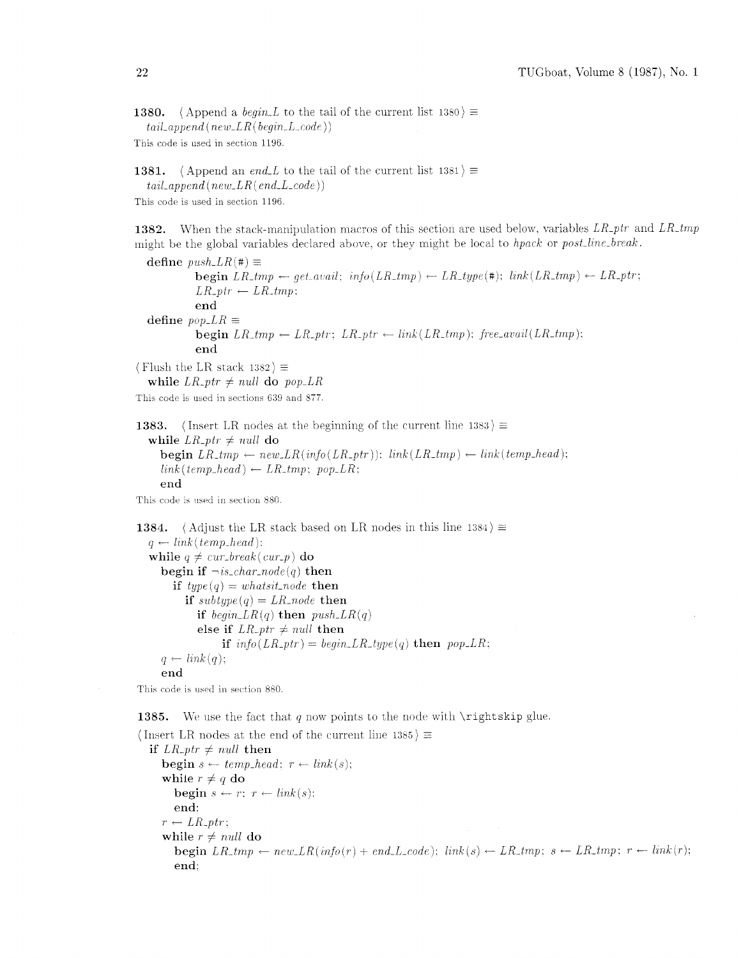1380. (Append a *begin* L to the tail of the current list 1380)  $\equiv$  $tail\_append(new\_LR(begin\_L\_code))$ 

This code is used in section 1196.

```
1381. (Append an end<sub>-L</sub> to the tail of the current list 1381) \equiv
```
*tnzl-append (new-LR(end-L-code))* 

This code is used in section 1196.

1382. When the stack-manipulation macros of this section are used below, variables *LR-ptr* and *LR-tmp* might be the global variables declared above, or they might be local to *hpack* or *post<sub>-line-break*.</sub>

define  $push\_LR(\#) \equiv$  $b = \begin{cases} \text{u} \sin(LR(\text{#})) = \\ \text{b} \sin(LR_{\text{#}}\text{#}) - \text{g}et_{\text{#}}\text{h} \sin\left(\frac{LR_{\text{#}}\text{#}}{\text{h}^2}\right) \end{cases}$  $\begin{array}{l} \texttt{begin} \texttt{LR\_tmp} \leftarrow \\ \texttt{LR\_ptr} \leftarrow \texttt{LR\_tmp} \end{array}$ end define  $pop\_LR \equiv$  $begin{aligned} \n \textbf{begin} \n &\textbf{L}R_{\textit{-}}tmp \leftarrow LR_{\textit{-}}ptr; \ \n \textbf{L}R_{\textit{-}}ptr \leftarrow link (LR_{\textit{-}}tmp); \ \n \textbf{free}_{\textit{-}}avail (LR_{\textit{-}}tmp); \n \end{aligned}$ end (Flush the LR stack  $1382$ )  $\equiv$ while  $LR\_ptr \neq null$  do  $pop\_LR$ 

This code is used in sections 639 and 877.

**1383.** (Insert LR nodes at the beginning of the current line 1383)  $\equiv$ 

while  $LR_+ptr \neq null$  do  $\text{begin } LR_{\perp} + m p \leftarrow new \_LR(\text{info}(LR_{\perp} + \text{pr})) \text{; } \text{link}(LR_{\perp} + \text{pr}) \leftarrow \text{link}(temp\_head);$  $link(temp\_head) \leftarrow LR\_tmp; pop\_LR$ ; end

This code is used in section 880.

```
1384. (Adjust the LR stack based on LR nodes in this line 1384) \equivq \leftarrow link(temp\_head):while q \neq cur\_break(cur_p) do
    begin if \negis_char_node(q) then
       if type(q) = what sit\_node then
         if subtype(q) = LR-node then
           if begin LR(q) then push\_LR(q)else if LR\_ptr \neq null then
                 if info(LR_1pr) = begin_LR_1sppe(q) then pop_LR;
     q \leftarrow link(q);end
```
This code is used in section 880.

1385. We use the fact that  $q$  now points to the node with  $\rightarrow$  intertskip glue.

```
(Insert LR nodes at the end of the current line 1385) \equivif LR<sub>-ptr</sub> \neq null then
          \mathbf{begin} s \leftarrow temp\_head; \ r \leftarrow link(s);while r \neq q do
               begin s \leftarrow r; r \leftarrow link(s);
               end: 
          r \leftarrow LR_{-}ptr;while r \neq null do
                \text{begin } L_R \to \text{1} \text{ } L_R \to \text{1} \text{ } L_R \to \text{1} \text{ } L_R \to \text{1} \text{ } L_R \to \text{1} \text{ } L_R \to \text{1} \text{ } L_R \to \text{1} \text{ } L_R \to \text{1} \text{ } L_R \to \text{1} \text{ } L_R \to \text{1} \text{ } L_R \to \text{1} \text{ } L_R \to \text{1} \text{ } L_R \to \text{1} \text{ } L_R \to \text{1} \text{ } L_R \to \text{1} \text{ } L_R \to \text{1} \text{ } L_R \to \text{end:
```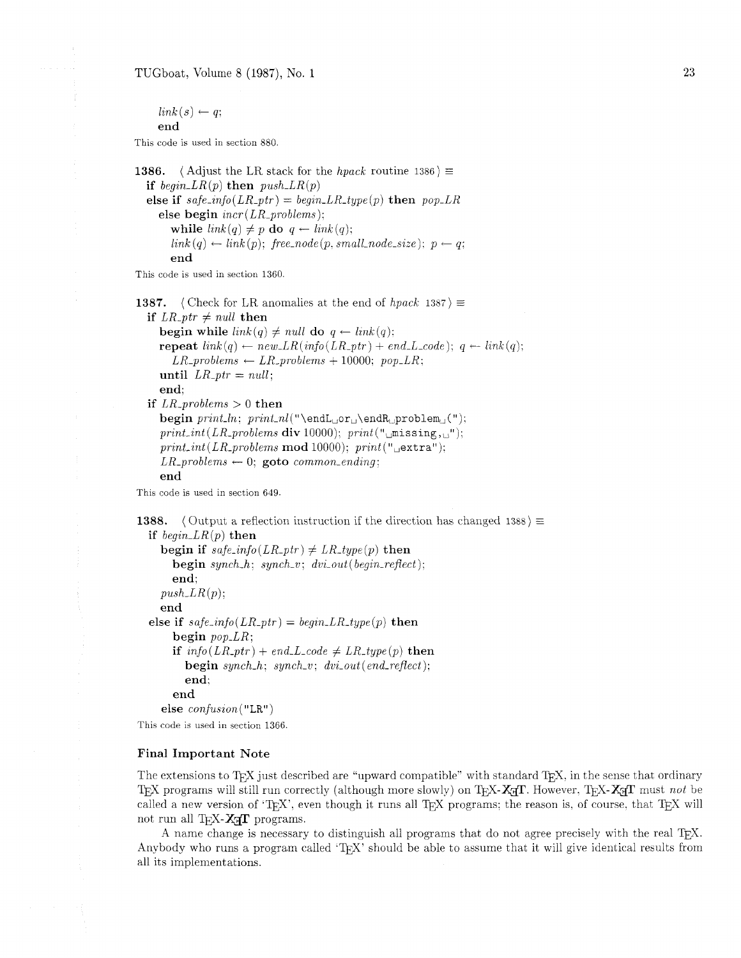TUGboat, Volume 8 (1987), No. 1

 $link(s) \leftarrow q$ ; end

This code is used in section 880.

1386. (Adjust the LR stack for the *hpack* routine 1386)  $\equiv$ if  $begin[-1,1]$   $\mathbf{L}R(p)$  then  $push\_LR(p)$ else if  $safe_info(LR_ptr) = begin_LR_type(p)$  then  $pop_LR$ else begin *incr(LR-problems):*  while  $link(q) \neq p$  do  $q \leftarrow link(q);$  $link(q) \leftarrow link(p)$ ; free\_node(p. small\_node\_size);  $p \leftarrow q$ ; end

This code is used in section 1360.

**1387.** (Check for LR anomalies at the end of *hpack* 1387)  $\equiv$ if  $LR\_ptr \neq null$  then begin while  $link(q) \neq null$  do  $q \leftarrow link(q)$ ; repeat  $link(q) \leftarrow new\_LR(\text{info}(LR\_ptr) + \text{end\_L\_code}); q \leftarrow link(q);$  $LR$ -problems  $\leftarrow$  *LR*-problems + 10000; pop<sub>-</sub>*LR*; until  $LR\_ptr = null$ ; end; if  $LR\_problems > 0$  then  $begining{bmatrix} print\_ln; print\_nl("\end{bmatrix}$ ,  $print\_nl("\end{bmatrix}$ ,  $path\_n$ ,  $print\_nl("\end{bmatrix}$  $print\_int (LR\_problems \textbf{div } 10000); \text{ print("missing, "");}$  $print(int (LR\_problems \textbf{ mod } 10000); print("{}_\Box \textbf{extra}");$  $LR\_problems \leftarrow 0$ ; goto *common\_ending*;

This code is used in section 649.

end

```
1388. (Output a reflection instruction if the direction has changed 1388) \equivif begin\_LR(p) then
     begin if safe\_info(LR\_ptr) \neq LR\_type(p) then
       begin synch-h; synch-v; dvi-out (begin-reflect): 
       end: 
    push\_LR(p);end 
  else if safe\_info(LR\_ptr) = begin\_LR\_type(p) then
       begin pop-LR; 
       if info(LR\_ptr) + end\_L\_code \neq LR\_type(p) then
         begin synch-h: synch-v; dvi-out (end-reflect); 
         end: 
       end 
     else confusion ("LR") 
This code is used in section 1366.
```
## Final Important Note

The extensions to T<sub>EX</sub> just described are "upward compatible" with standard T<sub>EX</sub>, in the sense that ordinary TEX programs will still run correctly (although more slowly) on TEX-X<sub>3I</sub>T. However, TEX-X<sub>3I</sub>T must *not* be called a new version of 'TFX', even though it runs all TFX programs; the reason is, of course, that TFX will not run all TEX- $X$ <sup>T</sup> programs.

A name change is necessary to distinguish all programs that do not agree precisely with the real TFX. Anybody who runs a program called 'T<sub>F</sub>X' should be able to assume that it will give identical results from all its implementations.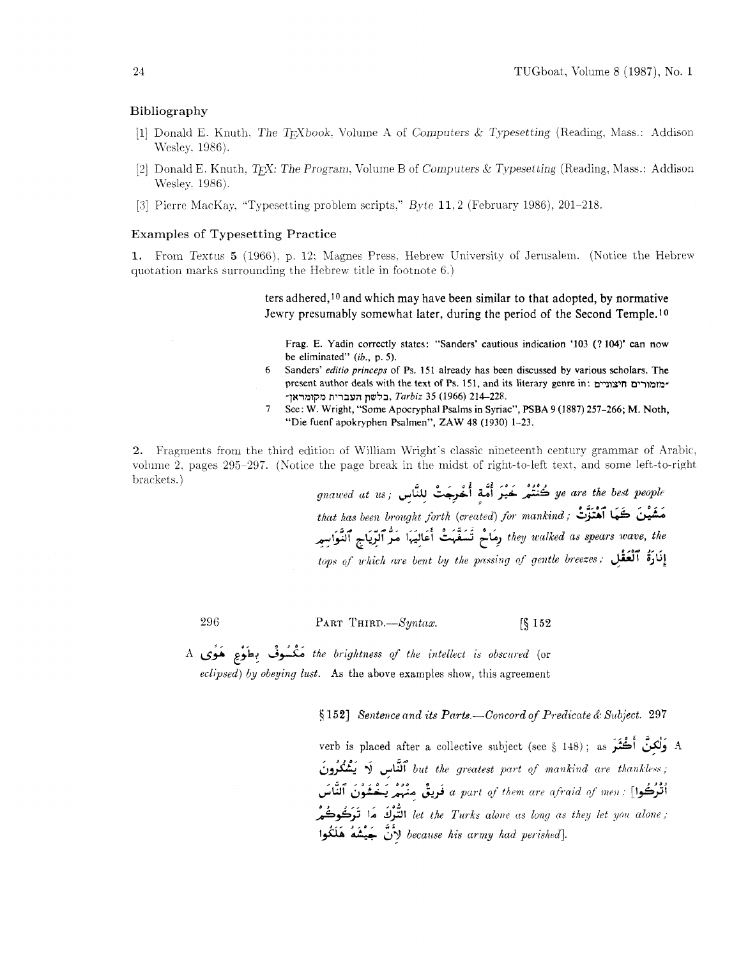#### Bibliography

- [1] Donald E. Knuth, The T<sub>F</sub>Xbook, Volume A of Computers & Typesetting (Reading, Mass.: Addison Wesley, 1986).
- [2] Donald E. Knuth. TrX: The Program, Volume B of Computers & Typesetting (Reading, Mass.: Addison Wesley, 1986).
- [3] Pierre MacKay, "Typesetting problem scripts," Byte 11, 2 (February 1986), 201-218.

## **Examples of Typesetting Practice**

1. From Textus 5 (1966), p. 12; Magnes Press, Hebrew University of Jerusalem. (Notice the Hebrew quotation marks surrounding the Hebrew title in footnote 6.)

> ters adhered, 10 and which may have been similar to that adopted, by normative Jewry presumably somewhat later, during the period of the Second Temple.<sup>10</sup>

Frag. E. Yadin correctly states: "Sanders' cautious indication '103 (? 104)' can now be eliminated"  $(ib., p. 5)$ .

- 6 Sanders' editio princeps of Ps. 151 already has been discussed by various scholars. The present author deals with the text of Ps. 151, and its literary genre in: מזמורים חיצוניים -בלשת העברית מקומראז, Tarbiz 35 (1966) ב-228.
- $\overline{7}$ See: W. Wright, "Some Apocryphal Psalms in Syriac", PSBA 9 (1887) 257-266; M. Noth, "Die fuenf apokryphen Psalmen", ZAW 48 (1930) 1-23.

2. Fragments from the third edition of William Wright's classic nineteenth century grammar of Arabic, volume 2, pages 295-297. (Notice the page break in the midst of right-to-left text, and some left-to-right brackets.)

gnawed at us; يَنْهُمْ خَيْرَ أُمَّةٍ أُخْرِجَتْ للنَّاسِ gnawed at us; that has been brought forth (created) for mankind; فَشَيْنَ كَتَبَا ٱهْتَزَلْتْ they walked as spears wave, the رِمَاحْ تَسَفَّهَتْ أَعَالِيَهَا مَرْ ٱلرِّيَاجِ ٱلنَّوَاسِيرِ tops of which are bent by the passing of gentle breezes; إِنَادَةُ ٱلْعَقْلِ ,

296

PART THIRD.-Syntax.  $\sqrt{\$}152$ 

the brightness of the intellect is obscured (or مَكْسُوفٌ بِطَوْعٍ هَوَى A eclipsed) by obeying lust. As the above examples show, this agreement

 $\S 152$ ] Sentence and its Parts.—Concord of Predicate & Subject. 297

verb is placed after a collective subject (see § 148); as مَوْلَكِنَّ أَكْثَرَ A but the greatest part of mankind are thankless; ٱتْرَكُوا] : a part of them are afraid of men فَرِيقٌ مِنْهُمْ يَـخْشَوْنَ ٱلنَّاسَ let the Turks alone as long as they let you alone ; التَّوْكَ مَا تَرَكُوكُمْ because his army had perished]. لأَنَّ جَيْشَهُ هَلَكُوا